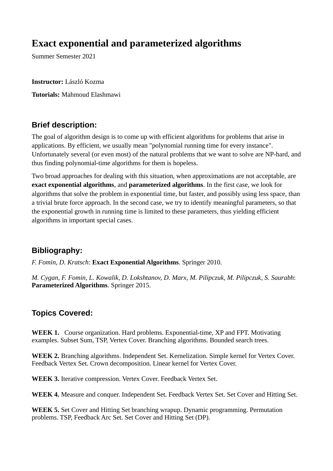## **Exact exponential and parameterized algorithms**

Summer Semester 2021

**Instructor:** László Kozma **Tutorials:** Mahmoud Elashmawi

## **Brief description:**

The goal of algorithm design is to come up with efficient algorithms for problems that arise in applications. By efficient, we usually mean "polynomial running time for every instance". Unfortunately several (or even most) of the natural problems that we want to solve are NP-hard, and thus finding polynomial-time algorithms for them is hopeless.

Two broad approaches for dealing with this situation, when approximations are not acceptable, are **exact exponential algorithms**, and **parameterized algorithms**. In the first case, we look for algorithms that solve the problem in exponential time, but faster, and possibly using less space, than a trivial brute force approach. In the second case, we try to identify meaningful parameters, so that the exponential growth in running time is limited to these parameters, thus yielding efficient algorithms in important special cases.

## **Bibliography:**

*F. Fomin, D. Kratsch*: **Exact Exponential Algorithms**. Springer 2010.

*M. Cygan, F. Fomin, L. Kowalik, D. Lokshtanov, D. Marx, M. Pilipczuk, M. Pilipczuk, S. Saurabh*: **Parameterized Algorithms**. Springer 2015.

## **Topics Covered:**

**WEEK 1.** Course organization. Hard problems. Exponential-time, XP and FPT. Motivating examples. Subset Sum, TSP, Vertex Cover. Branching algorithms. Bounded search trees.

**WEEK 2.** Branching algorithms. Independent Set. Kernelization. Simple kernel for Vertex Cover. Feedback Vertex Set. Crown decomposition. Linear kernel for Vertex Cover.

**WEEK 3.** Iterative compression. Vertex Cover. Feedback Vertex Set.

**WEEK 4.** Measure and conquer. Independent Set. Feedback Vertex Set. Set Cover and Hitting Set.

**WEEK 5.** Set Cover and Hitting Set branching wrapup. Dynamic programming. Permutation problems. TSP, Feedback Arc Set. Set Cover and Hitting Set (DP).